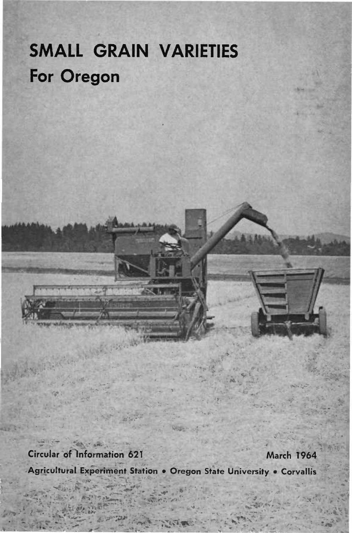# **SMALL GRAIN VARIETIES For Oregon**

**Circular of Information 621 March T964**

**Agricultural Experiment Station • Oregon State University • Corvailis**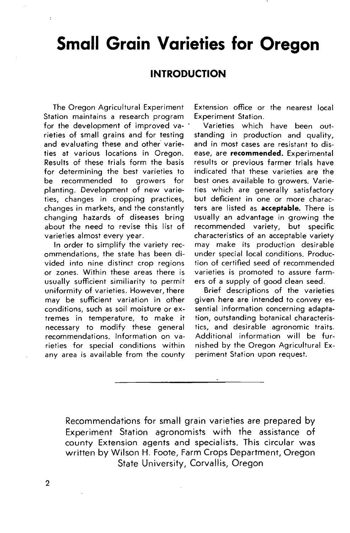# **Small Grain Varieties for Oregon**

### **INTRODUCTION**

The Oregon Agricultural Experiment Station maintains a research program for the development of improved varieties of small grains and for testing and evaluating these and other varieties at various locations in Oregon. Results of these trials form the basis for determining the best varieties to be recommended to growers for planting. Development of new varieties, changes in cropping practices, changes in markets, and the constantly changing hazards of diseases bring about the need to revise this list of varieties almost every year.

ł

In order to simplify the variety recommendations, the state has been divided into nine distinct crop regions or zones. Within these areas there is usually sufficient similiarity to permit uniformity of varieties. However, there may be sufficient variation in other conditions, such as soil moisture or extremes in temperature, to make it necessary to modify these general recommendations. Information on varieties for special conditions within any area is available from the county

Extension office or the nearest local Experiment Station.

Varieties which have been outstanding in production and quality, and in most cases are resistant to disease, are **recommended.** Experimental results or previous farmer trials have indicated that these varieties are the best ones available to growers. Varieties which are generally satisfactory but deficient in one or more characters are listed as **acceptable.** There is usually an advantage in growing the recommended variety, but specific characteristics of an acceptable variety may make its production desirable under special local conditions. Production of certified seed of recommended varieties is promoted to assure farmers of <sup>a</sup> supply of good clean seed.

Brief descriptions of the varieties given here are intended to convey essential information concerning adaptation, outstanding botanical characteristics, and desirable agronomic traits. Additional information will be furnished by the Oregon Agricultural Experiment Station upon request.

Recommendations for small grain varieties are prepared by Experiment Station agronomists with the assistance of county Extension agents and specialists. This circular was written by Wilson H. Foote, Farm Crops Department, Oregon State University, Corvallis, Oregon

 $\overline{2}$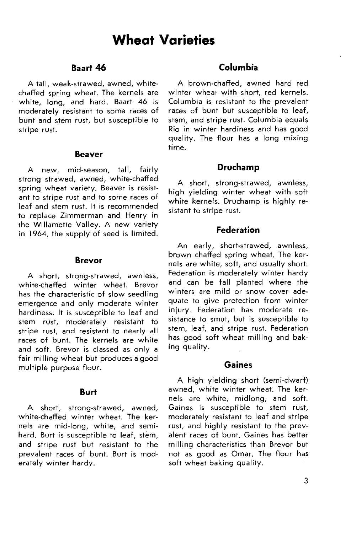#### **Baart 46**

A tall, weak-strawed, awned, whitechaffed spring wheat. The kernels are white, long, and hard. Baart 46 is moderately resistant to some races of bunt and stem rust, but susceptible to stripe rust.

#### **Beaver**

A new, mid-season, tall, fairly strong strawed, awned, white-chaffed spring wheat variety. Beaver is resistant to stripe rust and to some races of leaf and stem rust. It is recommended to replace Zimmerman and Henry in the Willamette Valley. A new variety in 1964, the supply of seed is limited.

#### **Brevor**

A short, strong-strawed, awnless, white-chaffed winter wheat. Brevor has the characteristic of slow seedling emergence and only moderate winter hardiness. It is susceptible to leaf and stem rust, moderately resistant to stripe rust, and resistant to nearly all races of bunt. The kernels are white and soft. Brevor is classed as only <sup>a</sup> fair milling wheat but produces <sup>a</sup> good multiple purpose flour.

#### **Burt**

A short, strong-strawed, awned, white-chaffed winter wheat. The kernels are mid-long, white, and semihard. Burt is susceptible to leaf, stem, and stripe rust but resistant to the prevalent races of bunt. Burt is moderately winter hardy.

#### **Columbia**

A brown-chaffed, awned hard red winter wheat with short, red kernels. Columbia is resistant to the prevalent races of bunt but susceptible to leaf, stem, and stripe rust. Columbia equals Rio in winter hardiness and has good quality. The flour has <sup>a</sup> long mixing time.

#### **Druchamp**

A short, strong-strawed, awnless, high yielding winter wheat with soft white kernels. Druchamp is highly resistant to stripe rust.

#### **Federation**

An early, short-strawed, awnless, brown chaffed spring wheat. The kernels are white, soft, and usually short. Federation is moderately winter hardy and can be fall planted where the winters are mild or snow cover adequate to give protection from winter injury. Federation has moderate resistance to smut, but is susceptible to stem, leaf, and stripe rust. Federation has good soft wheat milling and baking quality.

#### **Gaines**

A high yielding short (semi-dwarf) awned, white winter wheat. The kernels are white, midlong, and soft. Gaines is susceptible to stem rust, moderately resistant to leaf and stripe rust, and highly resistant to the prevalent races of bunt. Gaines has better milling characteristics than Brevor but not as good as Omar. The flour has soft wheat baking quality.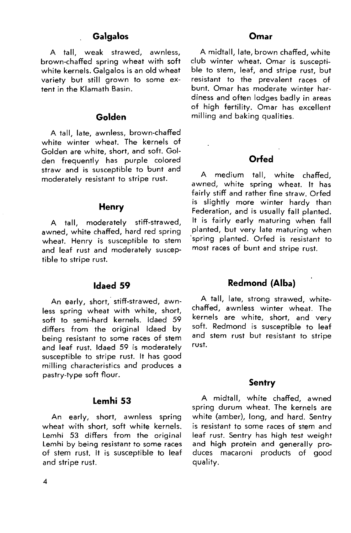#### **Galgalos Omar**

A tall, weak strawed, awnless, brown-chaffed spring wheat with soft white kernels. Galgalos is an old wheat variety but still grown to some extent in the Klamath Basin.

#### **Golden**

A tall, late, awnless, brown-chaffed white winter wheat. The kernels of Golden are white, short, and soft. Golden frequently has purple colored straw and is susceptible to bunt and moderately resistant to stripe rust.

#### **Henry**

A tall, moderately stiff-strawed, awned, white chaffed, hard red spring wheat. Henry is susceptible to stem and leaf rust and moderately susceptible to stripe rust.

#### **Idaed 59**

An early, short, stiff-strawed, awnless spring wheat with white, short, soft to semi-hard kernels. Idaed 59 differs from the original Idaed by being resistant to some races of stem and leaf rust. Idaed 59 is moderately susceptible to stripe rust. It has good milling characteristics and produces <sup>a</sup> pastry-type soft flour.

#### **Lemhi 53**

An early, short, awnless spring wheat with short, soft white kernels. Lemhi 53 differs from the original Lemhi by being resistant to some races of stem rust. It is susceptible to leaf and stripe rust.

A midtall, late, brown chaffed, white club winter wheat. Omar is susceptible to stem, leaf, and stripe rust, but resistant to the prevalent races of bunt. Omar has moderate winter hardiness and often lodges badly in areas of high fertility. Omar has excellent milling and baking qualities.

#### **Orfed**

A medium tall, white chaffed, awned, white spring wheat. It has fairly stiff and rather fine straw. Orfed is slightly more winter hardy than Federation, and is usually fall planted. It is fairly early maturing when fall planted, but very late maturing when spring planted. Orfed is resistant to most races of bunt and stripe rust.

#### **Redmond (Alba)**

A tall, late, strong strawed, whitechaffed, awnless winter wheat. The kernels are white, short, and very soft. Redmond is susceptible to leaf and stem rust but resistant to stripe rust.

#### **Sentry**

A midtall, white chaffed, awned spring durum wheat. The kernels are white (amber), long, and hard. Sentry is resistant to some races of stem and leaf rust. Sentry has high test weight and high protein and generally produces macaroni products of good **quality.**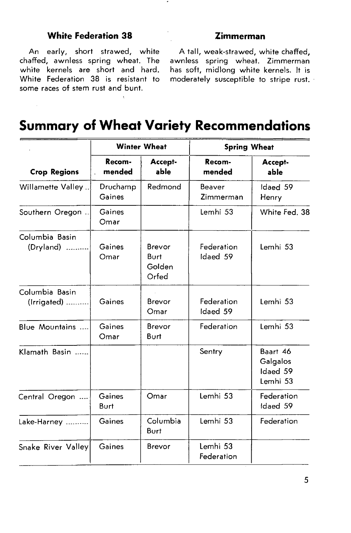### **White Federation 38 Zimmerman**

An early, short strawed, white chaffed, awnless spring wheat. The white kernels are short and hard. White Federation 38 is resistant to some races of stem rust and bunt.

A tall, weak-strawed, white chaffed, awnless spring wheat. Zimmerman has soft, midlong white kernels. It is moderately susceptible to stripe rust.

## **Summary of Wheat Variety Recommendations**

|                               | <b>Winter Wheat</b> |                                   | <b>Spring Wheat</b>    |                                              |
|-------------------------------|---------------------|-----------------------------------|------------------------|----------------------------------------------|
| <b>Crop Regions</b>           | Recom-<br>mended    | Accept-<br>able                   | Recom-<br>mended       | Accept-<br>able                              |
| Willamette Valley             | Druchamp<br>Gaines  | Redmond                           | Beaver<br>Zimmerman    | Idaed 59<br>Henry                            |
| Southern Oregon               | Gaines<br>Omar      |                                   | Lemhi 53               | White Fed. 38                                |
| Columbia Basin<br>(Dryland)   | Gaines<br>Omar      | Brevor<br>Burt<br>Golden<br>Orfed | Federation<br>Idaed 59 | Lemhi 53                                     |
| Columbia Basin<br>(Irrigated) | Gaines              | Brevor<br>Omar                    | Federation<br>Idaed 59 | Lemhi 53                                     |
| Blue Mountains                | Gaines<br>Omar      | Brevor<br>Burt                    | Federation             | Lemhi 53                                     |
| Klamath Basin                 |                     |                                   | Sentry                 | Baart 46<br>Galgalos<br>Idaed 59<br>Lemhi 53 |
| Central Oregon                | Gaines<br>Burt      | Omar                              | Lemhi 53               | Federation<br>Idaed 59                       |
| Lake-Harney                   | Gaines              | Columbia<br>Burt                  | Lemhi 53               | Federation                                   |
| Snake River Valley            | Gaines              | Brevor                            | Lemhi 53<br>Federation |                                              |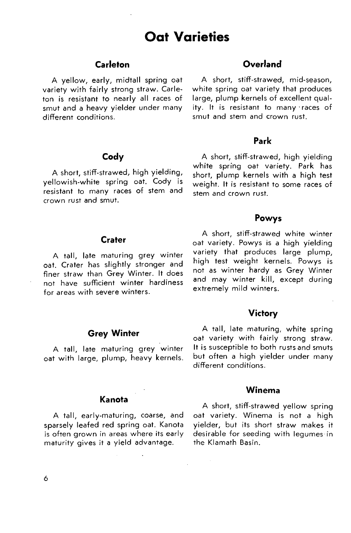## **Oat Varieties**

#### **Carleton**

A yellow, early, midtall spring oat variety with fairly strong straw. Carleton is resistant to nearly all races of smut and <sup>a</sup> heavy yielder under many different conditions.

#### **Cody**

A short, stiff-strawed, high yielding, yellowish-white spring oat. Cody is resistant to many races of stem and crown rust and smut.

#### **Crater**

A tall, late maturing grey winter oat. Crater has slightly stronger and finer straw than Grey Winter. It does not have sufficient winter hardiness for areas with severe winters.

#### **Grey Winter**

A tall, late maturing grey winter oat with large, plump, heavy kernels.

#### **Kanota**

A tall, early-maturing, coarse, and sparsely leafed red spring oat. Kanota is often grown in areas where its early maturity gives it <sup>a</sup> yield advantage.

### **Overland**

A short, stifF-strawed, mid-season, white spring oat variety that produces large, plump kernels of excellent quality. It is resistant to many races of smut and stem and crown rust.

#### **Park**

A short, stiff-strawed, high yielding white spring oat variety. Park has short, plump kernels with <sup>a</sup> high test weight. It is resistant to some races of stem and crown rust.

#### **Powys**

A short, stiff-strawed white winter oat variety. Powys is <sup>a</sup> high yielding variety that produces large plump, high test weight kernels. Powys is not as winter hardy as Grey Winter and may winter kill, except during extremely mild winters.

#### **Victory**

A tall, late maturing, white spring oat variety with fairly strong straw. It is susceptible to both rusts and smuts but often <sup>a</sup> high yielder under many different conditions.

### **Winema**

A short, stiff-strawed yellow spring oat variety. Winema is not <sup>a</sup> high yielder, but its short straw makes it desirable for seeding with legumes in the Klamath Basin.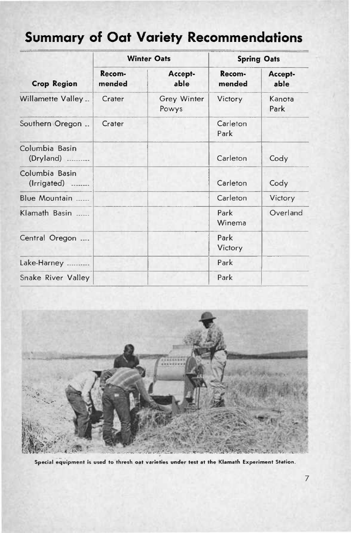## **Summary of Oat Variety Recommendations**

| <b>Crop Region</b>            |                  | <b>Winter Oats</b>   | <b>Spring Oats</b> |                 |
|-------------------------------|------------------|----------------------|--------------------|-----------------|
|                               | Recom-<br>mended | Accept-<br>able      | Recom-<br>mended   | Accept-<br>able |
| Willamette Valley             | Crater           | Grey Winter<br>Powys | Victory            | Kanota<br>Park  |
| Southern Oregon               | Crater           |                      | Carleton<br>Park   |                 |
| Columbia Basin<br>(Dryland)   |                  |                      | Carleton           | Cody            |
| Columbia Basin<br>(Irrigated) |                  |                      | Carleton           | Cody            |
| Blue Mountain                 |                  |                      | Carleton           | Victory         |
| Klamath Basin                 |                  |                      | Park<br>Winema     | Overland        |
| Central Oregon                |                  |                      | Park<br>Victory    |                 |
| Lake-Harney                   |                  |                      | Park               |                 |
| Snake River Valley            |                  |                      | Park               |                 |



**Special equipment is used to thresh oat varieties under test at the Kiamath Experiment Station.**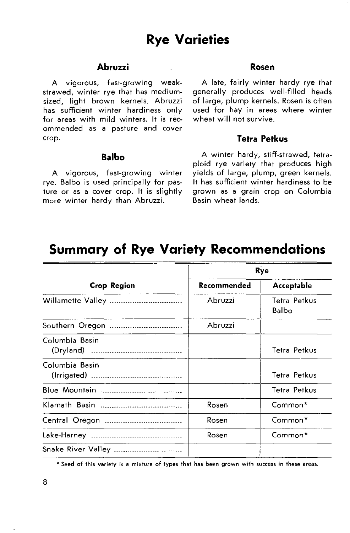#### **Abruzzi**

A vigorous, fast-growing weakstrawed, winter rye that has mediumsized, light brown kernels. Abruzzi has sufficient winter hardiness only for areas with mild winters. It is recommended as a pasture and cover crop.

#### **Balbo**

A vigorous, fast-growing winter rye. Balbo is used principally for pasture or as <sup>a</sup> cover crop. It is slightly more winter hardy than Abruzzi.

#### **Rosen**

A late, fairly winter hardy rye that generally produces well-filled heads of large, plump kernels. Rosen is often used for hay in areas where winter wheat will not survive.

#### **Tetra Petkus**

A winter hardy, stiff-strawed, tetraploid rye variety that produces high yields of large, plump, green kernels. It has sufficient winter hardiness to be grown as <sup>a</sup> grain crop on Columbia Basin wheat lands.

### **Summary of Rye Variety Recommendations**

|                    | Rye         |                       |  |
|--------------------|-------------|-----------------------|--|
| Crop Region        | Recommended | Acceptable            |  |
| Willamette Valley  | Abruzzi     | Tetra Petkus<br>Balbo |  |
| Southern Oregon    | Abruzzi     |                       |  |
| Columbia Basin     |             | Tetra Petkus          |  |
| Columbia Basin     |             | Tetra Petkus          |  |
|                    |             | Tetra Petkus          |  |
| Klamath Basin      | Rosen       | Common*               |  |
| Central Oregon     | Rosen       | Common*               |  |
|                    | Rosen       | Common*               |  |
| Snake River Valley |             |                       |  |

' Seed of this variety is <sup>a</sup> mixture of types that has been grown with success in these areas.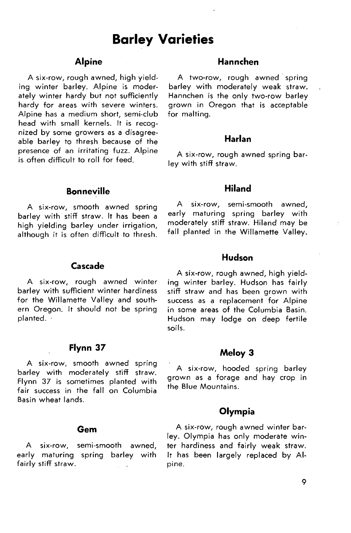### **Barley Varieties**

#### **Alpine**

A six-row, rough awned, high yielding winter barley. Alpine is moderately winter hardy but not sufficiently hardy for areas with severe winters. Alpine has <sup>a</sup> medium short, semi-club head with small kernels. It is recognized by some growers as <sup>a</sup> disagreeable barley to thresh because of the presence of an irritating fuzz. Alpine is often difficult to roll for feed.

#### **Bonneville**

A six-row, smooth awned spring barley with stiff straw. It has been <sup>a</sup> high yielding barley under irrigation, although it is often difficult to thresh.

#### **Cascade**

A six-row, rough awned winter barley with sufficient winter hardiness for the Willamette Valley and southern Oregon. It should not be spring planted.

#### **Flynn 37**

A six-row, smooth awned spring barley with moderately stiff straw. Flynn 37 is sometimes planted with fair success in the fall on Columbia Basin wheat lands.

#### **Gem**

A six-row, semi-smooth awned, early maturing spring barley with fairly stiff straw.

#### **Hannchen**

A two-row, rough awned spring barley with moderately weak straw. Hannchen is the only two-row barley grown in Oregon that is acceptable for malting.

#### **Harlan**

A six-row, rough awned spring barley with stiff straw.

#### **Hiland**

A six-row, semi-smooth awned, early maturing spring barley with moderately stiff straw. Hiland may be fall planted in the Willamette Valley.

#### **Hudson**

A six-row, rough awned, high yielding winter barley. Hudson has fairly stiff straw and has been grown with success as <sup>a</sup> replacement for Alpine in some areas of the Columbia Basin. Hudson may lodge on deep fertile soils.

#### **Meloy 3**

A six-row, hooded spring barley grown as <sup>a</sup> forage and hay crop in the Blue Mountains.

#### **Olympia**

A six-row, rough awned winter barley. Olympia has only moderate winter hardiness and fairly weak straw. It has been largely replaced by Alpine.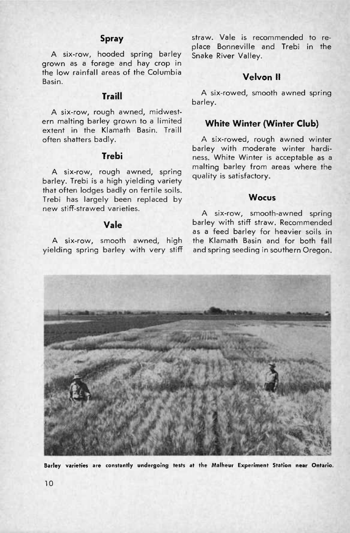### **Spray**

A six-row, hooded spring barley grown as <sup>a</sup> forage and hay crop in the low rainfall areas of the Columbia Basin.

#### **Traill**

A six-row, rough awned, midwestern malting barley grown to <sup>a</sup> limited extent in the Klamath Basin. Traill often shatters badly.

#### **Trebi**

A six-row, rough awned, spring barley. Trebi is <sup>a</sup> high yielding variety that often lodges badly on fertile soils. Trebi has largely been replaced by new stiff-strawed varieties.

#### **Vale**

A six-row, smooth awned, high yielding spring barley with very stiff

straw. Vale is recommended to replace Bonneville and Trebi in the Snake River Valley.

### **Velvon II**

A six-rowed, smooth awned spring barley.

#### **White Winter (Winter Club)**

A six-rowed, rough awned winter barley with moderate winter hardiness. White Winter is acceptable as a malting barley from areas where the quality is satisfactory.

#### **Wocus**

A six-row, smooth-awned spring barley with stiff straw. Recommended as <sup>a</sup> feed barley for heavier soils in the Klamath Basin and for both fall and spring seeding in southern Oregon.



**Barley varieties are constantly undergoing tests at the Malheur Experiment Station near Ontario.**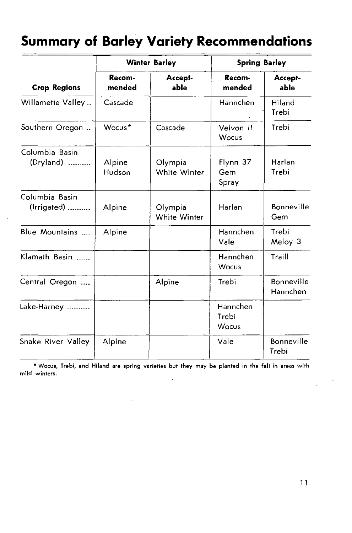## **Summary of Barley Variety Recommendations**

|                               | <b>Winter Barley</b> |                         | <b>Spring Barley</b>       |                        |
|-------------------------------|----------------------|-------------------------|----------------------------|------------------------|
| <b>Crop Regions</b>           | Recom-<br>mended     | Accept-<br>able         | Recom-<br>mended           | Accept-<br>able        |
| Willamette Valley             | Cascade              |                         | Hannchen                   | Hiland<br>Trebi        |
| Southern Oregon               | Wocus*               | Cascade                 | Velvon II<br>Wocus         | Trebi                  |
| Columbia Basin<br>(Dryland)   | Alpine<br>Hudson     | Olympia<br>White Winter | Flynn 37<br>Gem<br>Spray   | Harlan<br>Trebi        |
| Columbia Basin<br>(Irrigated) | Alpine               | Olympia<br>White Winter | Harlan                     | Bonneville<br>Gem      |
| Blue Mountains                | Alpine               |                         | Hannchen<br>Vale           | Trebi<br>Meloy 3       |
| Klamath Basin                 |                      |                         | Hannchen<br>Wocus          | Traill                 |
| Central Oregon                |                      | Alpine                  | Trebi                      | Bonneville<br>Hannchen |
| Lake-Harney                   |                      |                         | Hannchen<br>Trebi<br>Wocus |                        |
| Snake River Valley            | Alpine               |                         | Vale                       | Bonneville<br>Trebi    |

\* Wocus, Trebi, and Hiland are spring varieties but they may be planted in the fall in areas with mild winters.  $\ddot{\phantom{0}}$